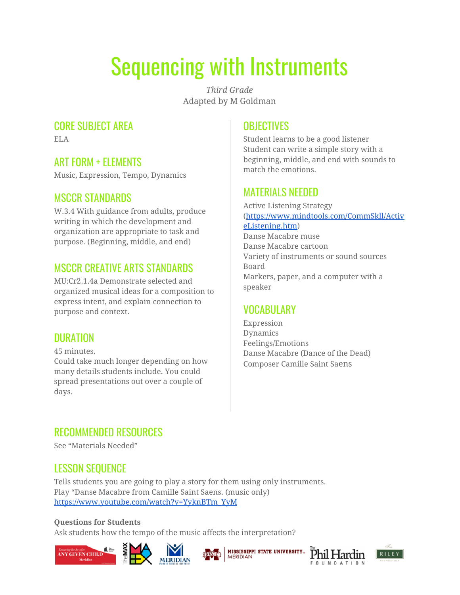# Sequencing with Instruments

*Third Grade* Adapted by M Goldman

### CORE SUBJECT AREA

ELA

### ART FORM + ELEMENTS

Music, Expression, Tempo, Dynamics

#### MSCCR STANDARDS

W.3.4 With guidance from adults, produce writing in which the development and organization are appropriate to task and purpose. (Beginning, middle, and end)

# MSCCR CREATIVE ARTS STANDARDS

MU:Cr2.1.4a Demonstrate selected and organized musical ideas for a composition to express intent, and explain connection to purpose and context.

# DURATION

days.

45 minutes. Could take much longer depending on how many details students include. You could spread presentations out over a couple of

# **OBJECTIVES**

Student learns to be a good listener Student can write a simple story with a beginning, middle, and end with sounds to match the emotions.

#### MATERIALS NEEDED

Active Listening Strategy ([https://www.mindtools.com/CommSkll/Activ](https://www.mindtools.com/CommSkll/ActiveListening.htm) [eListening.htm\)](https://www.mindtools.com/CommSkll/ActiveListening.htm) Danse Macabre muse Danse Macabre cartoon Variety of instruments or sound sources Board Markers, paper, and a computer with a speaker

# VOCABULARY

Expression Dynamics Feelings/Emotions Danse Macabre (Dance of the Dead) Composer Camille Saint Saens

# RECOMMENDED RESOURCES

See "Materials Needed"

# LESSON SEQUENCE

Tells students you are going to play a story for them using only instruments. Play "Danse Macabre from Camille Saint Saens. (music only) [https://www.youtube.com/watch?v=YyknBTm\\_YyM](https://www.youtube.com/watch?v=YyknBTm_YyM)

#### **Questions for Students**

Ask students how the tempo of the music affects the interpretation?